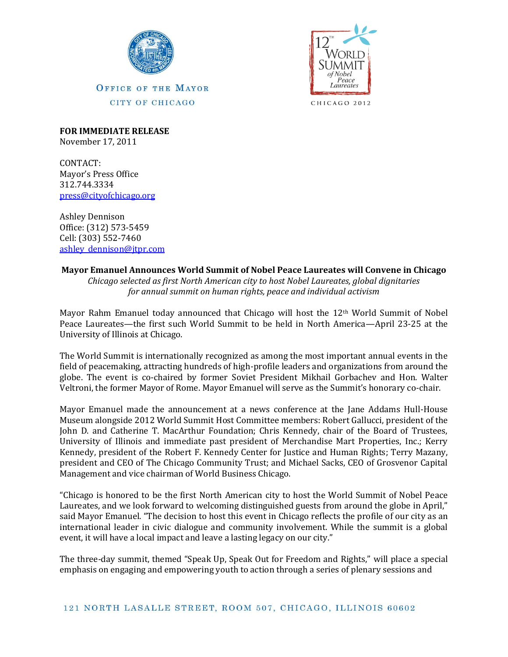



CHICAGO 2012

**OFFICE OF THE MAYOR** CITY OF CHICAGO

**FOR IMMEDIATE RELEASE** November 17, 2011

CONTACT: Mayor's Press Office 312.744.3334 [press@cityofchicago.org](mailto:press@cityofchicago.org)

Ashley Dennison Office: (312) 573-5459 Cell: (303) 552-7460 ashley dennison@jtpr.com

## **Mayor Emanuel Announces World Summit of Nobel Peace Laureates will Convene in Chicago**

*Chicago selected as first North American city to host Nobel Laureates, global dignitaries for annual summit on human rights, peace and individual activism*

Mayor Rahm Emanuel today announced that Chicago will host the  $12<sup>th</sup>$  World Summit of Nobel Peace Laureates—the first such World Summit to be held in North America—April 23-25 at the University of Illinois at Chicago.

The World Summit is internationally recognized as among the most important annual events in the field of peacemaking, attracting hundreds of high-profile leaders and organizations from around the globe. The event is co-chaired by former Soviet President Mikhail Gorbachev and Hon. Walter Veltroni, the former Mayor of Rome. Mayor Emanuel will serve as the Summit's honorary co-chair.

Mayor Emanuel made the announcement at a news conference at the Jane Addams Hull-House Museum alongside 2012 World Summit Host Committee members: Robert Gallucci, president of the John D. and Catherine T. MacArthur Foundation; Chris Kennedy, chair of the Board of Trustees, University of Illinois and immediate past president of Merchandise Mart Properties, Inc.; Kerry Kennedy, president of the Robert F. Kennedy Center for Justice and Human Rights; Terry Mazany, president and CEO of The Chicago Community Trust; and Michael Sacks, CEO of Grosvenor Capital Management and vice chairman of World Business Chicago.

"Chicago is honored to be the first North American city to host the World Summit of Nobel Peace Laureates, and we look forward to welcoming distinguished guests from around the globe in April," said Mayor Emanuel. "The decision to host this event in Chicago reflects the profile of our city as an international leader in civic dialogue and community involvement. While the summit is a global event, it will have a local impact and leave a lasting legacy on our city."

The three-day summit, themed "Speak Up, Speak Out for Freedom and Rights," will place a special emphasis on engaging and empowering youth to action through a series of plenary sessions and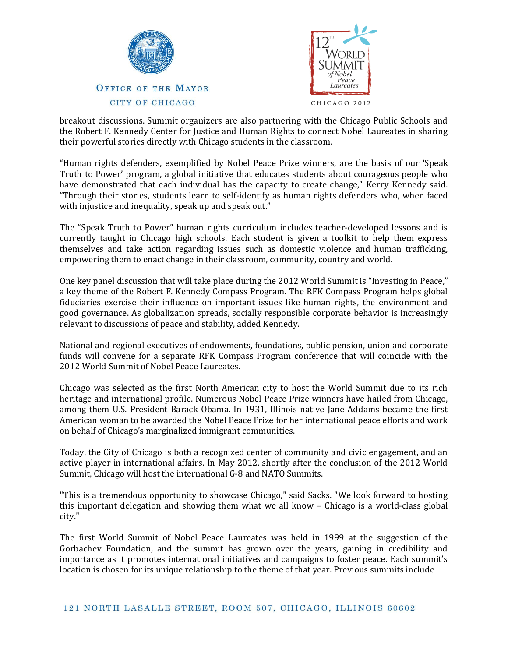



breakout discussions. Summit organizers are also partnering with the Chicago Public Schools and the Robert F. Kennedy Center for Justice and Human Rights to connect Nobel Laureates in sharing their powerful stories directly with Chicago students in the classroom.

"Human rights defenders, exemplified by Nobel Peace Prize winners, are the basis of our 'Speak Truth to Power' program, a global initiative that educates students about courageous people who have demonstrated that each individual has the capacity to create change," Kerry Kennedy said. "Through their stories, students learn to self-identify as human rights defenders who, when faced with injustice and inequality, speak up and speak out."

The "Speak Truth to Power" human rights curriculum includes teacher-developed lessons and is currently taught in Chicago high schools. Each student is given a toolkit to help them express themselves and take action regarding issues such as domestic violence and human trafficking, empowering them to enact change in their classroom, community, country and world.

One key panel discussion that will take place during the 2012 World Summit is "Investing in Peace," a key theme of the Robert F. Kennedy Compass Program. The RFK Compass Program helps global fiduciaries exercise their influence on important issues like human rights, the environment and good governance. As globalization spreads, socially responsible corporate behavior is increasingly relevant to discussions of peace and stability, added Kennedy.

National and regional executives of endowments, foundations, public pension, union and corporate funds will convene for a separate RFK Compass Program conference that will coincide with the 2012 World Summit of Nobel Peace Laureates.

Chicago was selected as the first North American city to host the World Summit due to its rich heritage and international profile. Numerous Nobel Peace Prize winners have hailed from Chicago, among them U.S. President Barack Obama. In 1931, Illinois native Jane Addams became the first American woman to be awarded the Nobel Peace Prize for her international peace efforts and work on behalf of Chicago's marginalized immigrant communities.

Today, the City of Chicago is both a recognized center of community and civic engagement, and an active player in international affairs. In May 2012, shortly after the conclusion of the 2012 World Summit, Chicago will host the international G-8 and NATO Summits.

"This is a tremendous opportunity to showcase Chicago," said Sacks. "We look forward to hosting this important delegation and showing them what we all know – Chicago is a world-class global city."

The first World Summit of Nobel Peace Laureates was held in 1999 at the suggestion of the Gorbachev Foundation, and the summit has grown over the years, gaining in credibility and importance as it promotes international initiatives and campaigns to foster peace. Each summit's location is chosen for its unique relationship to the theme of that year. Previous summits include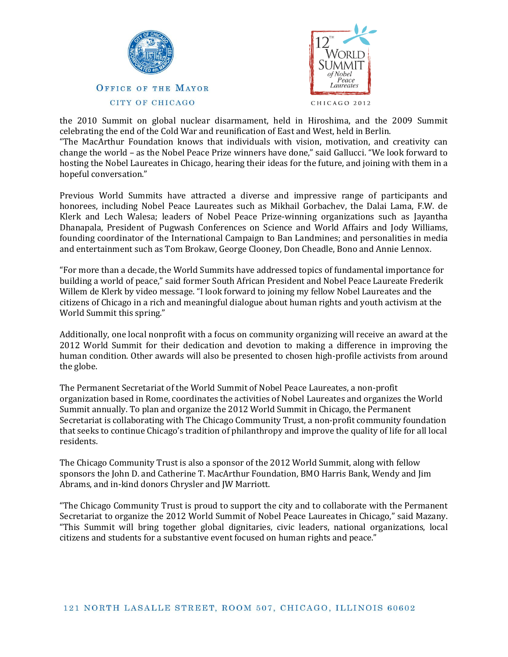



the 2010 Summit on global nuclear disarmament, held in Hiroshima, and the 2009 Summit celebrating the end of the Cold War and reunification of East and West, held in Berlin.

"The MacArthur Foundation knows that individuals with vision, motivation, and creativity can change the world – as the Nobel Peace Prize winners have done," said Gallucci. "We look forward to hosting the Nobel Laureates in Chicago, hearing their ideas for the future, and joining with them in a hopeful conversation."

Previous World Summits have attracted a diverse and impressive range of participants and honorees, including Nobel Peace Laureates such as Mikhail Gorbachev, the Dalai Lama, F.W. de Klerk and Lech Walesa; leaders of Nobel Peace Prize-winning organizations such as Jayantha Dhanapala, President of Pugwash Conferences on Science and World Affairs and Jody Williams, founding coordinator of the International Campaign to Ban Landmines; and personalities in media and entertainment such as Tom Brokaw, George Clooney, Don Cheadle, Bono and Annie Lennox.

"For more than a decade, the World Summits have addressed topics of fundamental importance for building a world of peace," said former South African President and Nobel Peace Laureate Frederik Willem de Klerk by video message. "I look forward to joining my fellow Nobel Laureates and the citizens of Chicago in a rich and meaningful dialogue about human rights and youth activism at the World Summit this spring."

Additionally, one local nonprofit with a focus on community organizing will receive an award at the 2012 World Summit for their dedication and devotion to making a difference in improving the human condition. Other awards will also be presented to chosen high-profile activists from around the globe.

The Permanent Secretariat of the World Summit of Nobel Peace Laureates, a non-profit organization based in Rome, coordinates the activities of Nobel Laureates and organizes the World Summit annually. To plan and organize the 2012 World Summit in Chicago, the Permanent Secretariat is collaborating with The Chicago Community Trust, a non-profit community foundation that seeks to continue Chicago's tradition of philanthropy and improve the quality of life for all local residents.

The Chicago Community Trust is also a sponsor of the 2012 World Summit, along with fellow sponsors the John D. and Catherine T. MacArthur Foundation, BMO Harris Bank, Wendy and Jim Abrams, and in-kind donors Chrysler and JW Marriott.

"The Chicago Community Trust is proud to support the city and to collaborate with the Permanent Secretariat to organize the 2012 World Summit of Nobel Peace Laureates in Chicago," said Mazany. "This Summit will bring together global dignitaries, civic leaders, national organizations, local citizens and students for a substantive event focused on human rights and peace."